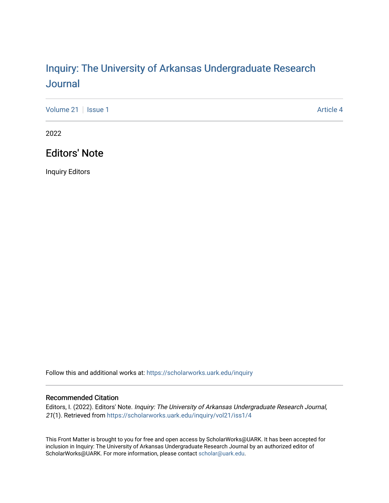## Inquiry: The Univ[ersity of Arkansas Undergraduate Resear](https://scholarworks.uark.edu/inquiry)ch [Journal](https://scholarworks.uark.edu/inquiry)

[Volume 21](https://scholarworks.uark.edu/inquiry/vol21) | [Issue 1](https://scholarworks.uark.edu/inquiry/vol21/iss1) Article 4

2022

## Editors' Note

Inquiry Editors

Follow this and additional works at: [https://scholarworks.uark.edu/inquiry](https://scholarworks.uark.edu/inquiry?utm_source=scholarworks.uark.edu%2Finquiry%2Fvol21%2Fiss1%2F4&utm_medium=PDF&utm_campaign=PDFCoverPages)

## Recommended Citation

Editors, I. (2022). Editors' Note. Inquiry: The University of Arkansas Undergraduate Research Journal, 21(1). Retrieved from [https://scholarworks.uark.edu/inquiry/vol21/iss1/4](https://scholarworks.uark.edu/inquiry/vol21/iss1/4?utm_source=scholarworks.uark.edu%2Finquiry%2Fvol21%2Fiss1%2F4&utm_medium=PDF&utm_campaign=PDFCoverPages)

This Front Matter is brought to you for free and open access by ScholarWorks@UARK. It has been accepted for inclusion in Inquiry: The University of Arkansas Undergraduate Research Journal by an authorized editor of ScholarWorks@UARK. For more information, please contact [scholar@uark.edu](mailto:scholar@uark.edu).